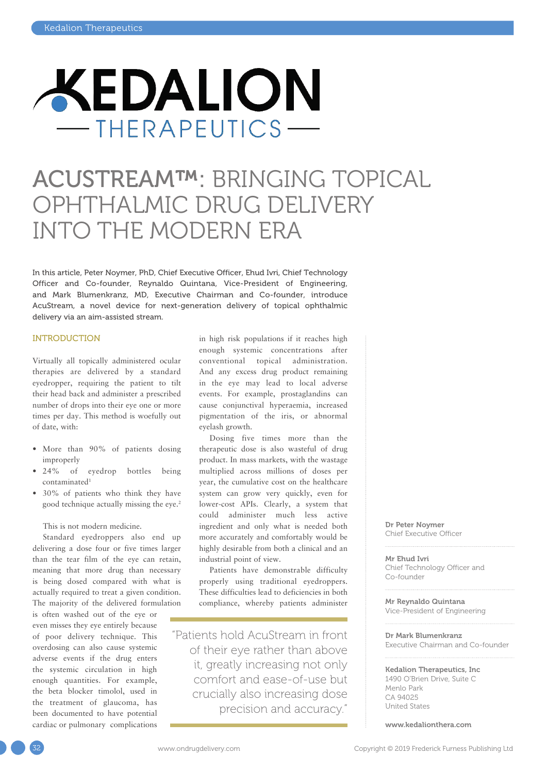# **KEDALION**  $-$ THERAPEUTICS

## ACUSTREAM™: BRINGING TOPICAL OPHTHALMIC DRUG DELIVERY INTO THE MODERN ERA

In this article, Peter Noymer, PhD, Chief Executive Officer, Ehud Ivri, Chief Technology Officer and Co-founder, Reynaldo Quintana, Vice-President of Engineering, and Mark Blumenkranz, MD, Executive Chairman and Co-founder, introduce AcuStream, a novel device for next-generation delivery of topical ophthalmic delivery via an aim-assisted stream.

### **INTRODUCTION**

Virtually all topically administered ocular therapies are delivered by a standard eyedropper, requiring the patient to tilt their head back and administer a prescribed number of drops into their eye one or more times per day. This method is woefully out of date, with:

- More than 90% of patients dosing improperly
- 24% of eyedrop bottles being  $contaminated<sup>1</sup>$
- 30% of patients who think they have good technique actually missing the eye.<sup>2</sup>

This is not modern medicine.

Standard eyedroppers also end up delivering a dose four or five times larger than the tear film of the eye can retain, meaning that more drug than necessary is being dosed compared with what is actually required to treat a given condition. The majority of the delivered formulation

is often washed out of the eye or even misses they eye entirely because of poor delivery technique. This overdosing can also cause systemic adverse events if the drug enters the systemic circulation in high enough quantities. For example, the beta blocker timolol, used in the treatment of glaucoma, has been documented to have potential cardiac or pulmonary complications

in high risk populations if it reaches high enough systemic concentrations after conventional topical administration. And any excess drug product remaining in the eye may lead to local adverse events. For example, prostaglandins can cause conjunctival hyperaemia, increased pigmentation of the iris, or abnormal eyelash growth.

Dosing five times more than the therapeutic dose is also wasteful of drug product. In mass markets, with the wastage multiplied across millions of doses per year, the cumulative cost on the healthcare system can grow very quickly, even for lower-cost APIs. Clearly, a system that could administer much less active ingredient and only what is needed both more accurately and comfortably would be highly desirable from both a clinical and an industrial point of view.

Patients have demonstrable difficulty properly using traditional eyedroppers. These difficulties lead to deficiencies in both compliance, whereby patients administer

"Patients hold AcuStream in front of their eye rather than above it, greatly increasing not only comfort and ease-of-use but crucially also increasing dose precision and accuracy."

Dr Peter Noymer Chief Executive Officer

Mr Ehud Ivri Chief Technology Officer and Co-founder

Mr Reynaldo Quintana Vice-President of Engineering

Dr Mark Blumenkranz Executive Chairman and Co-founder

Kedalion Therapeutics, Inc 1490 O'Brien Drive, Suite C Menlo Park CA 94025 United States

[www.kedalionthera.com](http://www.kedalionthera.com)

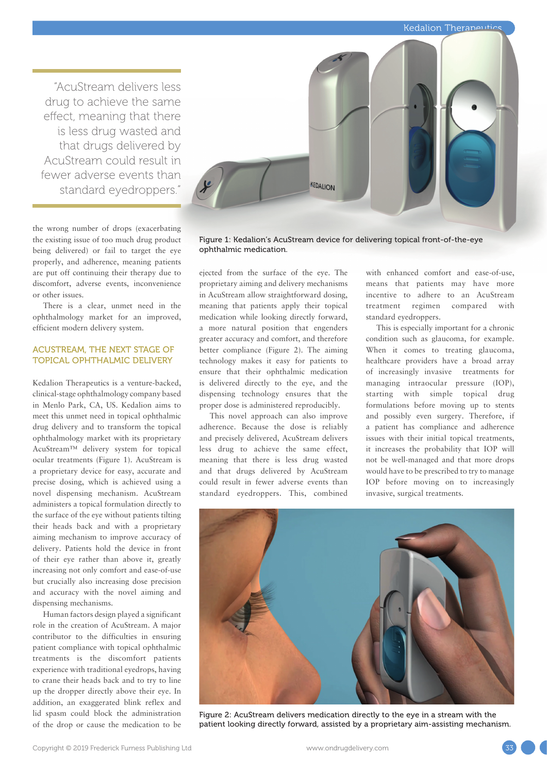"AcuStream delivers less drug to achieve the same effect, meaning that there is less drug wasted and that drugs delivered by AcuStream could result in fewer adverse events than standard eyedroppers."

the wrong number of drops (exacerbating the existing issue of too much drug product being delivered) or fail to target the eye properly, and adherence, meaning patients are put off continuing their therapy due to discomfort, adverse events, inconvenience or other issues.

There is a clear, unmet need in the ophthalmology market for an improved, efficient modern delivery system.

### ACUSTREAM, THE NEXT STAGE OF TOPICAL OPHTHALMIC DELIVERY

Kedalion Therapeutics is a venture-backed, clinical-stage ophthalmology company based in Menlo Park, CA, US. Kedalion aims to meet this unmet need in topical ophthalmic drug delivery and to transform the topical ophthalmology market with its proprietary AcuStream*™* delivery system for topical ocular treatments (Figure 1). AcuStream is a proprietary device for easy, accurate and precise dosing, which is achieved using a novel dispensing mechanism. AcuStream administers a topical formulation directly to the surface of the eye without patients tilting their heads back and with a proprietary aiming mechanism to improve accuracy of delivery. Patients hold the device in front of their eye rather than above it, greatly increasing not only comfort and ease-of-use but crucially also increasing dose precision and accuracy with the novel aiming and dispensing mechanisms.

Human factors design played a significant role in the creation of AcuStream. A major contributor to the difficulties in ensuring patient compliance with topical ophthalmic treatments is the discomfort patients experience with traditional eyedrops, having to crane their heads back and to try to line up the dropper directly above their eye. In addition, an exaggerated blink reflex and lid spasm could block the administration of the drop or cause the medication to be



Figure 1: Kedalion's AcuStream device for delivering topical front-of-the-eye ophthalmic medication.

ejected from the surface of the eye. The proprietary aiming and delivery mechanisms in AcuStream allow straightforward dosing, meaning that patients apply their topical medication while looking directly forward, a more natural position that engenders greater accuracy and comfort, and therefore better compliance (Figure 2). The aiming technology makes it easy for patients to ensure that their ophthalmic medication is delivered directly to the eye, and the dispensing technology ensures that the proper dose is administered reproducibly.

This novel approach can also improve adherence. Because the dose is reliably and precisely delivered, AcuStream delivers less drug to achieve the same effect, meaning that there is less drug wasted and that drugs delivered by AcuStream could result in fewer adverse events than standard eyedroppers. This, combined

with enhanced comfort and ease-of-use, means that patients may have more incentive to adhere to an AcuStream treatment regimen compared with standard eyedroppers.

This is especially important for a chronic condition such as glaucoma, for example. When it comes to treating glaucoma, healthcare providers have a broad array of increasingly invasive treatments for managing intraocular pressure (IOP), starting with simple topical drug formulations before moving up to stents and possibly even surgery. Therefore, if a patient has compliance and adherence issues with their initial topical treatments, it increases the probability that IOP will not be well-managed and that more drops would have to be prescribed to try to manage IOP before moving on to increasingly invasive, surgical treatments.



Figure 2: AcuStream delivers medication directly to the eye in a stream with the patient looking directly forward, assisted by a proprietary aim-assisting mechanism.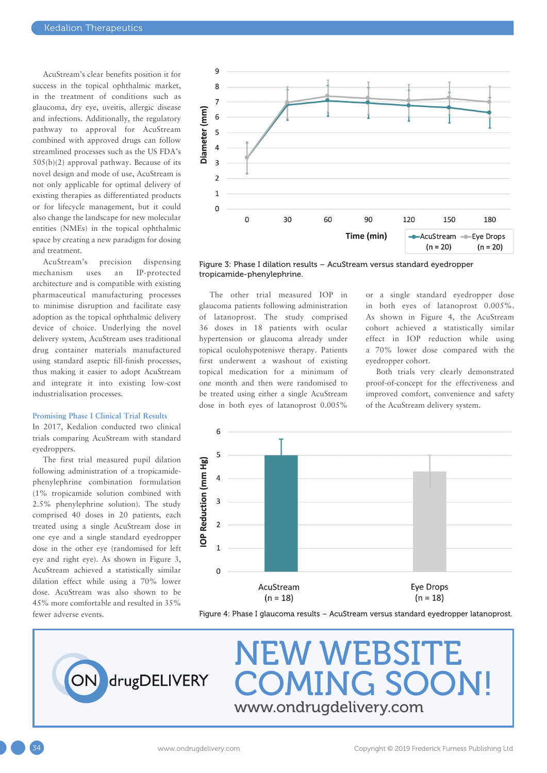AcuStream's clear benefits position it for success in the topical ophthalmic market, in the treatment of conditions such as glaucoma, dry eye, uveitis, allergic disease and infections. Additionally, the regulatory pathway to approval for AcuStream combined with approved drugs can follow streamlined processes such as the US FDA's 505(b)(2) approval pathway. Because of its novel design and mode of use, AcuStream is not only applicable for optimal delivery of existing therapies as differentiated products or for lifecycle management, but it could also change the landscape for new molecular entities (NMEs) in the topical ophthalmic space by creating a new paradigm for dosing and treatment.

AcuStream's precision dispensing mechanism uses an IP-protected architecture and is compatible with existing pharmaceutical manufacturing processes to minimise disruption and facilitate easy adoption as the topical ophthalmic delivery device of choice. Underlying the novel delivery system, AcuStream uses traditional drug container materials manufactured using standard aseptic fill-finish processes, thus making it easier to adopt AcuStream and integrate it into existing low-cost industrialisation processes.

#### **Promising Phase I Clinical Trial Results**

In 2017, Kedalion conducted two clinical trials comparing AcuStream with standard eyedroppers.

The first trial measured pupil dilation following administration of a tropicamidephenylephrine combination formulation (1% tropicamide solution combined with 2.5% phenylephrine solution). The study comprised 40 doses in 20 patients, each treated using a single AcuStream dose in one eye and a single standard eyedropper dose in the other eye (randomised for left eye and right eye). As shown in Figure 3, AcuStream achieved a statistically similar dilation effect while using a 70% lower dose. AcuStream was also shown to be 45% more comfortable and resulted in 35% fewer adverse events.



Figure 3: Phase I dilation results – AcuStream versus standard eyedropper tropicamide-phenylephrine.

The other trial measured IOP in glaucoma patients following administration of latanoprost. The study comprised 36 doses in 18 patients with ocular hypertension or glaucoma already under topical oculohypotenisve therapy. Patients first underwent a washout of existing topical medication for a minimum of one month and then were randomised to be treated using either a single AcuStream dose in both eyes of latanoprost 0.005% or a single standard eyedropper dose in both eyes of latanoprost 0.005%. As shown in Figure 4, the AcuStream cohort achieved a statistically similar effect in IOP reduction while using a 70% lower dose compared with the eyedropper cohort.

Both trials very clearly demonstrated proof-of-concept for the effectiveness and improved comfort, convenience and safety of the AcuStream delivery system.



Figure 4: Phase I glaucoma results – AcuStream versus standard eyedropper latanoprost.



### NEW WEBSITE COMING SOON! [www.ondrugdelivery.com](http://www.ondrugdelivery.com)